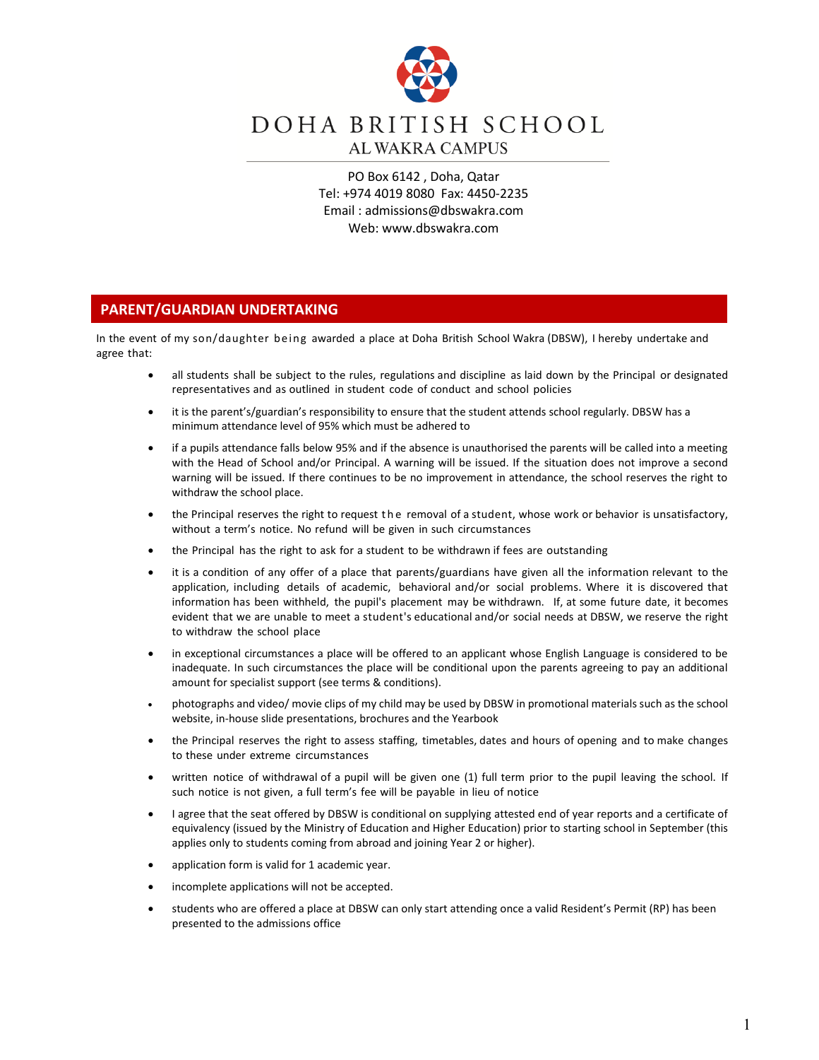

# DOHA BRITISH SCHOOL **AL WAKRA CAMPUS**

PO Box 6142 , Doha, Qatar Tel: +974 4019 8080 Fax: 4450-2235 Email : [admissions@dbswakra.com](mailto:admissions@dbswakra.com) Web: www.dbswakra.com

## **PARENT/GUARDIAN UNDERTAKING**

In the event of my son/daughter being awarded a place at Doha British School Wakra (DBSW), I hereby undertake and agree that:

- all students shall be subject to the rules, regulations and discipline as laid down by the Principal or designated representatives and as outlined in student code of conduct and school policies
- it is the parent's/guardian's responsibility to ensure that the student attends school regularly. DBSW has a minimum attendance level of 95% which must be adhered to
- if a pupils attendance falls below 95% and if the absence is unauthorised the parents will be called into a meeting with the Head of School and/or Principal. A warning will be issued. If the situation does not improve a second warning will be issued. If there continues to be no improvement in attendance, the school reserves the right to withdraw the school place.
- the Principal reserves the right to request the removal of a student, whose work or behavior is unsatisfactory, without a term's notice. No refund will be given in such circumstances
- the Principal has the right to ask for a student to be withdrawn if fees are outstanding
- it is a condition of any offer of a place that parents/guardians have given all the information relevant to the application, including details of academic, behavioral and/or social problems. Where it is discovered that information has been withheld, the pupil's placement may be withdrawn. If, at some future date, it becomes evident that we are unable to meet a student's educational and/or social needs at DBSW, we reserve the right to withdraw the school place
- in exceptional circumstances a place will be offered to an applicant whose English Language is considered to be inadequate. In such circumstances the place will be conditional upon the parents agreeing to pay an additional amount for specialist support (see terms & conditions).
- photographs and video/ movie clips of my child may be used by DBSW in promotional materials such as the school website, in-house slide presentations, brochures and the Yearbook
- the Principal reserves the right to assess staffing, timetables, dates and hours of opening and to make changes to these under extreme circumstances
- written notice of withdrawal of a pupil will be given one (1) full term prior to the pupil leaving the school. If such notice is not given, a full term's fee will be payable in lieu of notice
- I agree that the seat offered by DBSW is conditional on supplying attested end of year reports and a certificate of equivalency (issued by the Ministry of Education and Higher Education) prior to starting school in September (this applies only to students coming from abroad and joining Year 2 or higher).
- application form is valid for 1 academic year.
- incomplete applications will not be accepted.
- students who are offered a place at DBSW can only start attending once a valid Resident's Permit (RP) has been presented to the admissions office